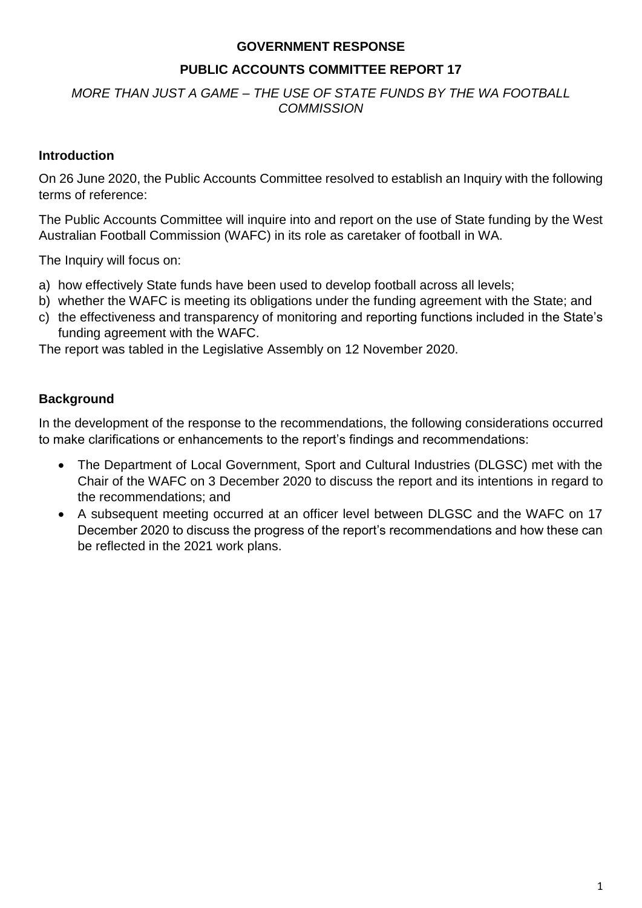#### **GOVERNMENT RESPONSE**

## **PUBLIC ACCOUNTS COMMITTEE REPORT 17**

## *MORE THAN JUST A GAME – THE USE OF STATE FUNDS BY THE WA FOOTBALL COMMISSION*

## **Introduction**

On 26 June 2020, the Public Accounts Committee resolved to establish an Inquiry with the following terms of reference:

The Public Accounts Committee will inquire into and report on the use of State funding by the West Australian Football Commission (WAFC) in its role as caretaker of football in WA.

The Inquiry will focus on:

- a) how effectively State funds have been used to develop football across all levels;
- b) whether the WAFC is meeting its obligations under the funding agreement with the State; and
- c) the effectiveness and transparency of monitoring and reporting functions included in the State's funding agreement with the WAFC.

The report was tabled in the Legislative Assembly on 12 November 2020.

# **Background**

In the development of the response to the recommendations, the following considerations occurred to make clarifications or enhancements to the report's findings and recommendations:

- The Department of Local Government, Sport and Cultural Industries (DLGSC) met with the Chair of the WAFC on 3 December 2020 to discuss the report and its intentions in regard to the recommendations; and
- A subsequent meeting occurred at an officer level between DLGSC and the WAFC on 17 December 2020 to discuss the progress of the report's recommendations and how these can be reflected in the 2021 work plans.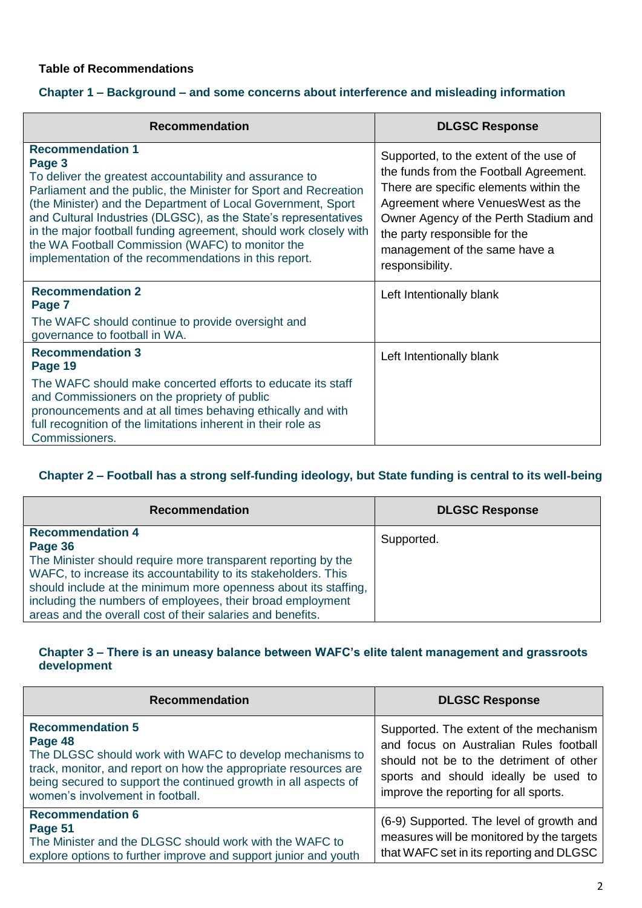#### **Table of Recommendations**

## **Chapter 1 – Background – and some concerns about interference and misleading information**

| <b>Recommendation</b>                                                                                                                                                                                                                                                                                                                                                                                                                                                                 | <b>DLGSC Response</b>                                                                                                                                                                                                                                                                          |
|---------------------------------------------------------------------------------------------------------------------------------------------------------------------------------------------------------------------------------------------------------------------------------------------------------------------------------------------------------------------------------------------------------------------------------------------------------------------------------------|------------------------------------------------------------------------------------------------------------------------------------------------------------------------------------------------------------------------------------------------------------------------------------------------|
| <b>Recommendation 1</b><br>Page 3<br>To deliver the greatest accountability and assurance to<br>Parliament and the public, the Minister for Sport and Recreation<br>(the Minister) and the Department of Local Government, Sport<br>and Cultural Industries (DLGSC), as the State's representatives<br>in the major football funding agreement, should work closely with<br>the WA Football Commission (WAFC) to monitor the<br>implementation of the recommendations in this report. | Supported, to the extent of the use of<br>the funds from the Football Agreement.<br>There are specific elements within the<br>Agreement where Venues West as the<br>Owner Agency of the Perth Stadium and<br>the party responsible for the<br>management of the same have a<br>responsibility. |
| <b>Recommendation 2</b><br>Page 7                                                                                                                                                                                                                                                                                                                                                                                                                                                     | Left Intentionally blank                                                                                                                                                                                                                                                                       |
| The WAFC should continue to provide oversight and<br>governance to football in WA.                                                                                                                                                                                                                                                                                                                                                                                                    |                                                                                                                                                                                                                                                                                                |
| <b>Recommendation 3</b><br>Page 19                                                                                                                                                                                                                                                                                                                                                                                                                                                    | Left Intentionally blank                                                                                                                                                                                                                                                                       |
| The WAFC should make concerted efforts to educate its staff<br>and Commissioners on the propriety of public<br>pronouncements and at all times behaving ethically and with<br>full recognition of the limitations inherent in their role as<br>Commissioners.                                                                                                                                                                                                                         |                                                                                                                                                                                                                                                                                                |

# **Chapter 2 – Football has a strong self**‐**funding ideology, but State funding is central to its well**‐**being**

| <b>Recommendation</b>                                                                                                                                                                                                                                                                                                                                                | <b>DLGSC Response</b> |
|----------------------------------------------------------------------------------------------------------------------------------------------------------------------------------------------------------------------------------------------------------------------------------------------------------------------------------------------------------------------|-----------------------|
| <b>Recommendation 4</b><br>Page 36<br>The Minister should require more transparent reporting by the<br>WAFC, to increase its accountability to its stakeholders. This<br>should include at the minimum more openness about its staffing,<br>including the numbers of employees, their broad employment<br>areas and the overall cost of their salaries and benefits. | Supported.            |

#### **Chapter 3 – There is an uneasy balance between WAFC's elite talent management and grassroots development**

| <b>Recommendation</b>                                                                                                                                                                                                                                                    | <b>DLGSC Response</b>                                                                                                                                                                                        |
|--------------------------------------------------------------------------------------------------------------------------------------------------------------------------------------------------------------------------------------------------------------------------|--------------------------------------------------------------------------------------------------------------------------------------------------------------------------------------------------------------|
| <b>Recommendation 5</b><br>Page 48<br>The DLGSC should work with WAFC to develop mechanisms to<br>track, monitor, and report on how the appropriate resources are<br>being secured to support the continued growth in all aspects of<br>women's involvement in football. | Supported. The extent of the mechanism<br>and focus on Australian Rules football<br>should not be to the detriment of other<br>sports and should ideally be used to<br>improve the reporting for all sports. |
| <b>Recommendation 6</b><br>Page 51<br>The Minister and the DLGSC should work with the WAFC to<br>explore options to further improve and support junior and youth                                                                                                         | (6-9) Supported. The level of growth and<br>measures will be monitored by the targets<br>that WAFC set in its reporting and DLGSC                                                                            |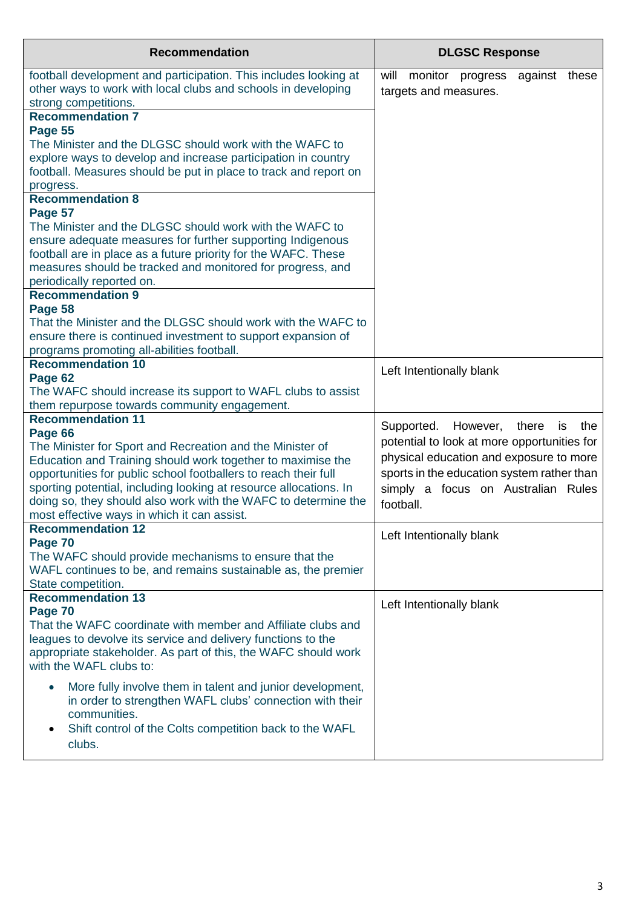| <b>Recommendation</b>                                                                                                                                     | <b>DLGSC Response</b>                                                 |
|-----------------------------------------------------------------------------------------------------------------------------------------------------------|-----------------------------------------------------------------------|
| football development and participation. This includes looking at<br>other ways to work with local clubs and schools in developing<br>strong competitions. | monitor progress<br>will<br>against<br>these<br>targets and measures. |
| <b>Recommendation 7</b>                                                                                                                                   |                                                                       |
| Page 55                                                                                                                                                   |                                                                       |
| The Minister and the DLGSC should work with the WAFC to                                                                                                   |                                                                       |
| explore ways to develop and increase participation in country                                                                                             |                                                                       |
| football. Measures should be put in place to track and report on                                                                                          |                                                                       |
| progress.<br><b>Recommendation 8</b>                                                                                                                      |                                                                       |
| Page 57                                                                                                                                                   |                                                                       |
| The Minister and the DLGSC should work with the WAFC to                                                                                                   |                                                                       |
| ensure adequate measures for further supporting Indigenous                                                                                                |                                                                       |
| football are in place as a future priority for the WAFC. These                                                                                            |                                                                       |
| measures should be tracked and monitored for progress, and                                                                                                |                                                                       |
| periodically reported on.                                                                                                                                 |                                                                       |
| <b>Recommendation 9</b>                                                                                                                                   |                                                                       |
| Page 58                                                                                                                                                   |                                                                       |
| That the Minister and the DLGSC should work with the WAFC to                                                                                              |                                                                       |
| ensure there is continued investment to support expansion of<br>programs promoting all-abilities football.                                                |                                                                       |
| <b>Recommendation 10</b>                                                                                                                                  |                                                                       |
| Page 62                                                                                                                                                   | Left Intentionally blank                                              |
| The WAFC should increase its support to WAFL clubs to assist                                                                                              |                                                                       |
| them repurpose towards community engagement.                                                                                                              |                                                                       |
| <b>Recommendation 11</b>                                                                                                                                  | Supported.<br>However,<br>there<br>is<br>the                          |
| Page 66                                                                                                                                                   | potential to look at more opportunities for                           |
| The Minister for Sport and Recreation and the Minister of                                                                                                 |                                                                       |
| Education and Training should work together to maximise the                                                                                               | physical education and exposure to more                               |
| opportunities for public school footballers to reach their full                                                                                           | sports in the education system rather than                            |
| sporting potential, including looking at resource allocations. In<br>doing so, they should also work with the WAFC to determine the                       | simply a focus on Australian Rules                                    |
| most effective ways in which it can assist.                                                                                                               | football.                                                             |
| <b>Recommendation 12</b>                                                                                                                                  |                                                                       |
| Page 70                                                                                                                                                   | Left Intentionally blank                                              |
| The WAFC should provide mechanisms to ensure that the                                                                                                     |                                                                       |
| WAFL continues to be, and remains sustainable as, the premier                                                                                             |                                                                       |
| State competition.                                                                                                                                        |                                                                       |
| <b>Recommendation 13</b>                                                                                                                                  | Left Intentionally blank                                              |
| Page 70                                                                                                                                                   |                                                                       |
| That the WAFC coordinate with member and Affiliate clubs and<br>leagues to devolve its service and delivery functions to the                              |                                                                       |
| appropriate stakeholder. As part of this, the WAFC should work                                                                                            |                                                                       |
| with the WAFL clubs to:                                                                                                                                   |                                                                       |
| More fully involve them in talent and junior development,<br>$\bullet$                                                                                    |                                                                       |
| in order to strengthen WAFL clubs' connection with their                                                                                                  |                                                                       |
| communities.                                                                                                                                              |                                                                       |
| Shift control of the Colts competition back to the WAFL<br>$\bullet$                                                                                      |                                                                       |
| clubs.                                                                                                                                                    |                                                                       |
|                                                                                                                                                           |                                                                       |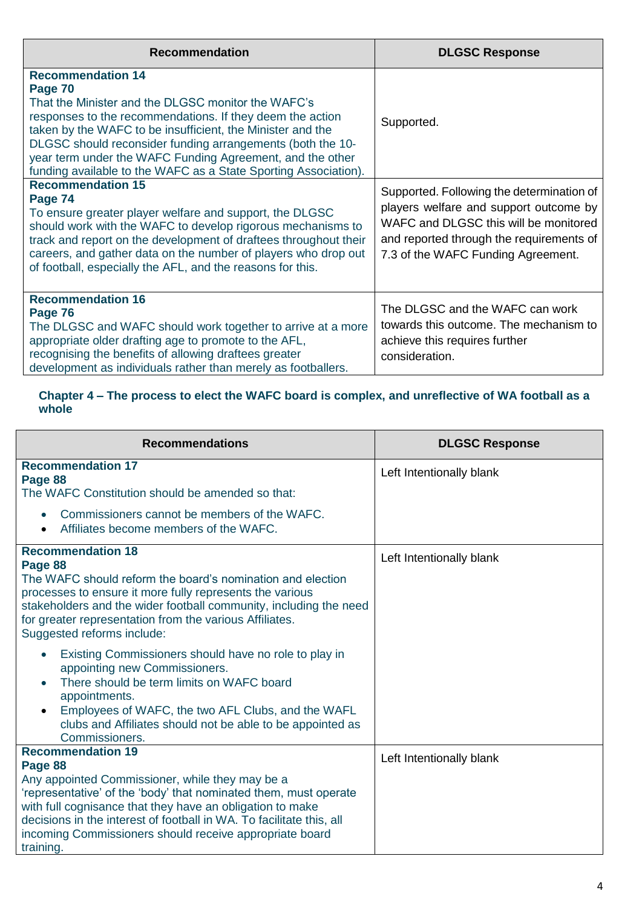| <b>Recommendation</b>                                                                                                                                                                                                                                                                                                                                                                                              | <b>DLGSC Response</b>                                                                                                                                                                                          |
|--------------------------------------------------------------------------------------------------------------------------------------------------------------------------------------------------------------------------------------------------------------------------------------------------------------------------------------------------------------------------------------------------------------------|----------------------------------------------------------------------------------------------------------------------------------------------------------------------------------------------------------------|
| <b>Recommendation 14</b><br>Page 70<br>That the Minister and the DLGSC monitor the WAFC's<br>responses to the recommendations. If they deem the action<br>taken by the WAFC to be insufficient, the Minister and the<br>DLGSC should reconsider funding arrangements (both the 10-<br>year term under the WAFC Funding Agreement, and the other<br>funding available to the WAFC as a State Sporting Association). | Supported.                                                                                                                                                                                                     |
| <b>Recommendation 15</b><br>Page 74<br>To ensure greater player welfare and support, the DLGSC<br>should work with the WAFC to develop rigorous mechanisms to<br>track and report on the development of draftees throughout their<br>careers, and gather data on the number of players who drop out<br>of football, especially the AFL, and the reasons for this.                                                  | Supported. Following the determination of<br>players welfare and support outcome by<br>WAFC and DLGSC this will be monitored<br>and reported through the requirements of<br>7.3 of the WAFC Funding Agreement. |
| <b>Recommendation 16</b><br>Page 76<br>The DLGSC and WAFC should work together to arrive at a more<br>appropriate older drafting age to promote to the AFL,<br>recognising the benefits of allowing draftees greater<br>development as individuals rather than merely as footballers.                                                                                                                              | The DLGSC and the WAFC can work<br>towards this outcome. The mechanism to<br>achieve this requires further<br>consideration.                                                                                   |

#### **Chapter 4 – The process to elect the WAFC board is complex, and unreflective of WA football as a whole**

| <b>Recommendations</b>                                                                                                                                                                                                                                                                                                                                                                                                                                                                       | <b>DLGSC Response</b>    |
|----------------------------------------------------------------------------------------------------------------------------------------------------------------------------------------------------------------------------------------------------------------------------------------------------------------------------------------------------------------------------------------------------------------------------------------------------------------------------------------------|--------------------------|
| <b>Recommendation 17</b><br>Page 88<br>The WAFC Constitution should be amended so that:<br>Commissioners cannot be members of the WAFC.<br>$\bullet$<br>Affiliates become members of the WAFC.                                                                                                                                                                                                                                                                                               | Left Intentionally blank |
| <b>Recommendation 18</b><br>Page 88<br>The WAFC should reform the board's nomination and election<br>processes to ensure it more fully represents the various<br>stakeholders and the wider football community, including the need<br>for greater representation from the various Affiliates.<br>Suggested reforms include:<br>Existing Commissioners should have no role to play in<br>$\bullet$<br>appointing new Commissioners.<br>There should be term limits on WAFC board<br>$\bullet$ | Left Intentionally blank |
| appointments.<br>Employees of WAFC, the two AFL Clubs, and the WAFL<br>$\bullet$<br>clubs and Affiliates should not be able to be appointed as<br>Commissioners.                                                                                                                                                                                                                                                                                                                             |                          |
| <b>Recommendation 19</b><br>Page 88<br>Any appointed Commissioner, while they may be a<br>'representative' of the 'body' that nominated them, must operate<br>with full cognisance that they have an obligation to make<br>decisions in the interest of football in WA. To facilitate this, all<br>incoming Commissioners should receive appropriate board<br>training.                                                                                                                      | Left Intentionally blank |